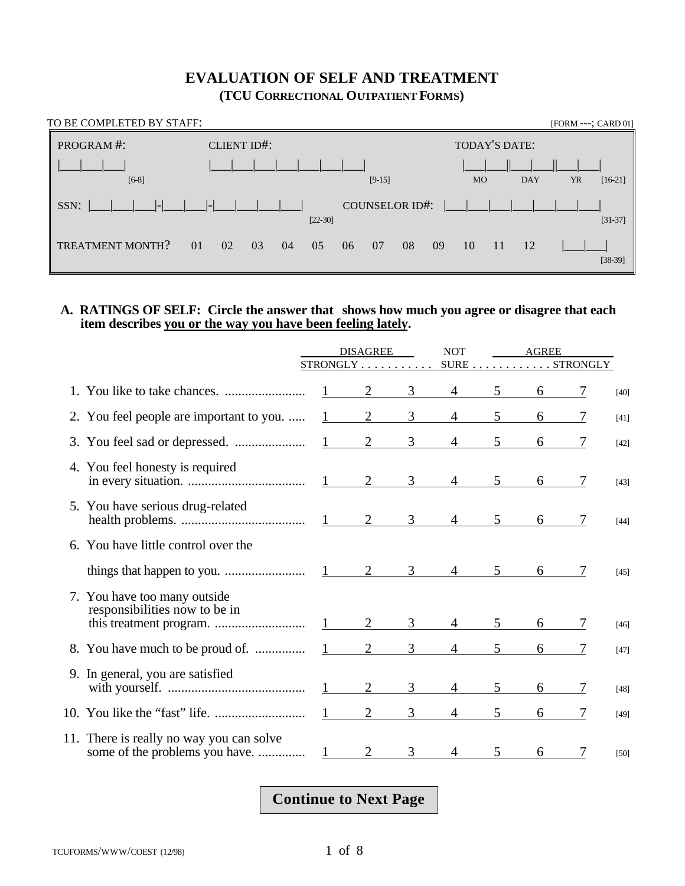### **EVALUATION OF SELF AND TREATMENT (TCU CORRECTIONAL OUTPATIENT FORMS)**

| TO BE COMPLETED BY STAFF: |                      |           |                |          |               |            | [FORM ---; CARD 01] |           |
|---------------------------|----------------------|-----------|----------------|----------|---------------|------------|---------------------|-----------|
| PROGRAM#:                 | <b>CLIENT ID#:</b>   |           |                |          | TODAY'S DATE: |            |                     |           |
| $[6-8]$                   |                      |           | $[9-15]$       |          | <b>MO</b>     | <b>DAY</b> | YR                  | $[16-21]$ |
| SSN:                      | $ $ - $ $            | $[22-30]$ | COUNSELOR ID#: |          |               |            |                     | $[31-37]$ |
| <b>TREATMENT MONTH?</b>   | 01<br>02<br>03<br>04 | 05        | 07<br>06       | 08<br>09 | 10<br>-11     | 12         |                     | $[38-39]$ |

#### **A. RATINGS OF SELF: Circle the answer that shows how much you agree or disagree that each item describes you or the way you have been feeling lately.**

|    |                                                                            | <b>DISAGREE</b><br>STRONGLY |                | <b>NOT</b>     | AGREE<br>$SURE \ldots \ldots \ldots \ldots STRONGLY$ |                |   |   |        |  |
|----|----------------------------------------------------------------------------|-----------------------------|----------------|----------------|------------------------------------------------------|----------------|---|---|--------|--|
|    |                                                                            |                             |                |                |                                                      |                |   |   |        |  |
|    |                                                                            |                             | $\overline{2}$ | 3              |                                                      | 5              | 6 |   | $[40]$ |  |
|    | 2. You feel people are important to you.                                   |                             | 2              | 3              | 4                                                    | 5              | 6 |   | $[41]$ |  |
|    |                                                                            | $1 \quad \cdots$            | $\overline{2}$ | 3              |                                                      | 5              | 6 |   | $[42]$ |  |
|    | 4. You feel honesty is required                                            | $1 \qquad \qquad$           | 2              | $\mathfrak{Z}$ | $\overline{4}$                                       | 5              | 6 | 7 | $[43]$ |  |
|    | 5. You have serious drug-related                                           |                             |                | 3 <sup>7</sup> | $4 \quad$                                            | 5 <sup>7</sup> | 6 |   | $[44]$ |  |
| 6. | You have little control over the                                           |                             |                |                |                                                      |                |   |   |        |  |
|    |                                                                            |                             | 2              | 3              | $\overline{4}$                                       | 5              | 6 |   | $[45]$ |  |
|    | 7. You have too many outside<br>responsibilities now to be in              |                             | 2              | $\mathfrak{Z}$ | $\overline{4}$                                       | 5              | 6 | 7 | $[46]$ |  |
|    |                                                                            |                             | $\overline{2}$ | 3              | $\overline{4}$                                       | 5 <sup>5</sup> | 6 |   | [47]   |  |
|    | 9. In general, you are satisfied                                           |                             | $\overline{2}$ | $\mathcal{E}$  | $\overline{4}$                                       | 5 <sup>1</sup> | 6 | 7 | $[48]$ |  |
|    |                                                                            |                             | $\overline{2}$ | 3              | $\overline{4}$                                       | $5^{\circ}$    | 6 |   | $[49]$ |  |
|    | 11. There is really no way you can solve<br>some of the problems you have. |                             |                | $\mathcal{F}$  |                                                      |                | 6 |   | $[50]$ |  |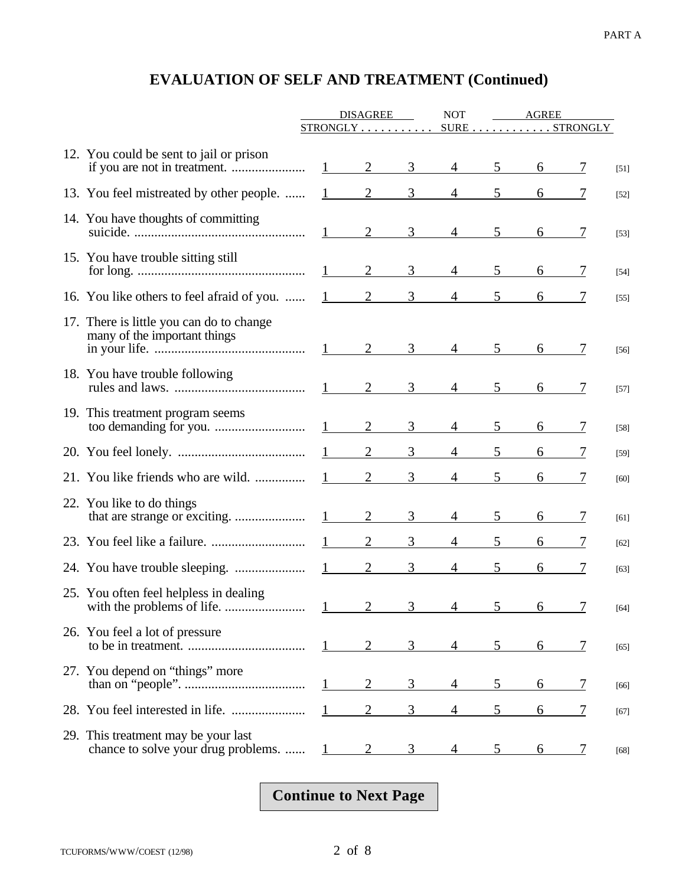|                                                                            | <b>DISAGREE</b>        |                | <b>NOT</b>    | AGREE          |                 |               |               |        |
|----------------------------------------------------------------------------|------------------------|----------------|---------------|----------------|-----------------|---------------|---------------|--------|
|                                                                            | STRONGLY               |                |               |                |                 | SURE STRONGLY |               |        |
| 12. You could be sent to jail or prison                                    | $1 \qquad \qquad$      | 2              | 3             | $\overline{4}$ | 5 <sup>5</sup>  |               |               | $[51]$ |
| 13. You feel mistreated by other people.                                   |                        | 2              | 3             | $\overline{4}$ | 5               |               |               | $[52]$ |
| 14. You have thoughts of committing                                        | 1                      | 2              | 3             | $\overline{4}$ | 5               | 6             | 7             | $[53]$ |
| 15. You have trouble sitting still                                         |                        | 2              | 3             | $\overline{4}$ | 5               | 6             | 7             | $[54]$ |
| 16. You like others to feel afraid of you.                                 | $1 \quad \blacksquare$ | $\overline{2}$ | 3             | 4              | 5               | 6             |               | $[55]$ |
| 17. There is little you can do to change<br>many of the important things   | $1 \qquad \qquad$      | 2              | 3             | $\overline{4}$ | 5               | 6             | 7             | $[56]$ |
| 18. You have trouble following                                             |                        | $\overline{2}$ | 3             | 4              | 5               | 6             | 7             | $[57]$ |
| 19. This treatment program seems                                           |                        | $\overline{2}$ | 3             | $\overline{4}$ | 5               | 6             | 7             | $[58]$ |
|                                                                            |                        | 2              | 3             | 4              | 5               |               |               | $[59]$ |
| 21. You like friends who are wild.                                         |                        | $\overline{2}$ | 3             | 4              | 5               | 6             | 7             | $[60]$ |
| 22. You like to do things                                                  | 1                      | 2              | 3             | 4              | 5               | 6             | 7             | $[61]$ |
|                                                                            |                        | $\overline{2}$ | 3             | 4              | 5               | 6             |               | $[62]$ |
|                                                                            | $1 \qquad \qquad$      | $\overline{2}$ | 3             | $\overline{4}$ | 5               | 6             |               | $[63]$ |
| 25. You often feel helpless in dealing<br>with the problems of life.       | $1 \sim$               | $\gamma$       | $\mathcal{R}$ |                | $\frac{1}{2}$ 5 | 6.            | 7             | $[64]$ |
| 26. You feel a lot of pressure                                             | $\mathbf{I}$           | 2              | 3             | 4              | 5 <sup>5</sup>  | 6             |               | $[65]$ |
| 27. You depend on "things" more                                            | $\mathbf{1}$           | 2              | 3             | 4              | 5               | 6             | $\frac{1}{2}$ | $[66]$ |
|                                                                            |                        |                | 3             | 4              | 5               | 6             |               | $[67]$ |
| 29. This treatment may be your last<br>chance to solve your drug problems. |                        | 2              | 3             |                | 5               | 6             | 7             | [68]   |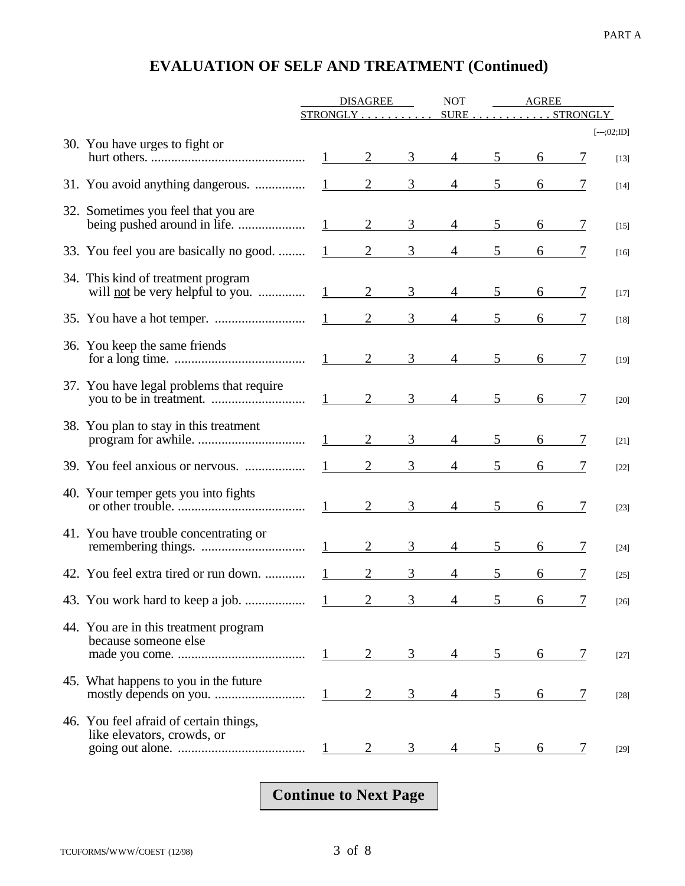|                                                                                                                                   | <b>DISAGREE</b><br><b>NOT</b> |                                          |                | <b>AGREE</b>   |                |               |   |               |
|-----------------------------------------------------------------------------------------------------------------------------------|-------------------------------|------------------------------------------|----------------|----------------|----------------|---------------|---|---------------|
|                                                                                                                                   |                               | $STRONGLY$                               |                |                |                | SURE STRONGLY |   |               |
| 30. You have urges to fight or                                                                                                    |                               |                                          |                |                |                |               |   | $[--.;02;ID]$ |
| hurt others. $\ldots$ $\ldots$ $\ldots$ $\ldots$ $\ldots$ $\ldots$ $\ldots$ $\ldots$ $\ldots$ $\ldots$ $\ldots$ $\ldots$ $\ldots$ |                               |                                          | 3 <sup>7</sup> | $\overline{4}$ | 5 <sup>5</sup> |               |   | $[13]$        |
| 31. You avoid anything dangerous.                                                                                                 |                               | $\frac{1}{2}$ 3                          |                | $4 \quad$      | 5              |               |   | $[14]$        |
| 32. Sometimes you feel that you are                                                                                               |                               | $1 \qquad 2$                             | 3 <sup>7</sup> | $4\degree$     | 5 <sup>5</sup> |               |   | $[15]$        |
| 33. You feel you are basically no good.                                                                                           |                               | $1 \qquad 2$                             | 3 <sup>7</sup> |                |                |               |   | $[16]$        |
| 34. This kind of treatment program<br>will <u>not</u> be very helpful to you.                                                     |                               | $1 \qquad 2 \qquad 3$                    |                | $\overline{4}$ | 5 <sup>5</sup> |               |   | $[17]$        |
|                                                                                                                                   |                               | $\frac{1}{2}$ 3                          |                |                |                |               |   | $[18]$        |
| 36. You keep the same friends                                                                                                     |                               |                                          |                | $\overline{4}$ | 5 <sup>5</sup> |               |   | $[19]$        |
| 37. You have legal problems that require                                                                                          |                               |                                          |                | $\overline{4}$ | 5 <sup>5</sup> |               |   | $[20]$        |
| 38. You plan to stay in this treatment                                                                                            |                               | $1 \qquad 2$                             | 3 <sup>7</sup> | $\overline{4}$ | 5 <sup>5</sup> |               |   | $[21]$        |
| 39. You feel anxious or nervous.                                                                                                  |                               | $\overline{2}$<br>$1 \quad \blacksquare$ | $\mathfrak{Z}$ |                |                |               |   | $[22]$        |
| 40. Your temper gets you into fights                                                                                              |                               |                                          | 3 <sup>7</sup> | $\overline{4}$ | 5 <sup>5</sup> |               |   | $[23]$        |
| 41. You have trouble concentrating or                                                                                             |                               | $1 \qquad \qquad$<br>$\overline{2}$      | 3              | $\overline{4}$ |                |               | 7 | $[24]$        |
| 42. You feel extra tired or run down.                                                                                             |                               |                                          | 3              |                |                |               |   | $[25]$        |
|                                                                                                                                   |                               | $\overline{2}$                           | $\sim$         |                |                | 6             |   | [26]          |
| 44. You are in this treatment program<br>because someone else                                                                     |                               | 2<br>$1 - 1$                             | 3              |                | 5              | 6             | 7 | [27]          |
| 45. What happens to you in the future                                                                                             |                               | 2<br>$\mathbf{1}$                        | 3              |                | 5              | 6             | 7 | $[28]$        |
| 46. You feel afraid of certain things,<br>like elevators, crowds, or                                                              | $\mathbf{1}$                  | 2                                        | 3              |                | 5              | 6             | 7 | $[29]$        |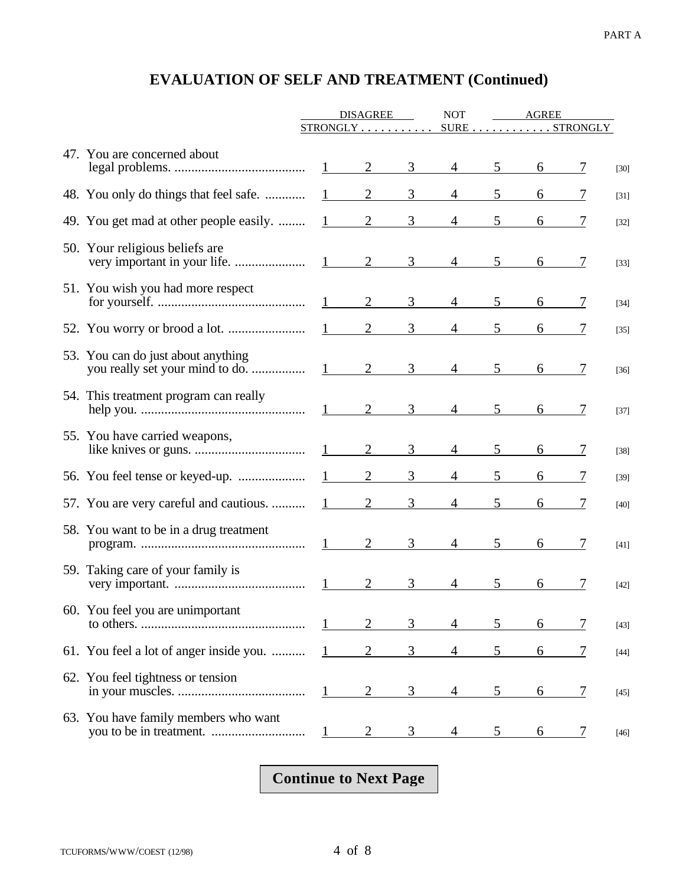|                                         | <b>DISAGREE</b>        |                     | <b>NOT</b> | AGREE          |                 |                                                     |                |        |
|-----------------------------------------|------------------------|---------------------|------------|----------------|-----------------|-----------------------------------------------------|----------------|--------|
|                                         |                        | STRONGLY            |            |                |                 | $\texttt{SURE} \dots \dots \dots \texttt{STRONGLY}$ |                |        |
| 47. You are concerned about             |                        | $1 \qquad \qquad 2$ | 3          | $\overline{4}$ | $5\overline{)}$ |                                                     |                | $[30]$ |
| 48. You only do things that feel safe.  | 1                      | $\overline{2}$      | 3          | $\overline{4}$ | 5               |                                                     |                | $[31]$ |
| 49. You get mad at other people easily. | $\mathbf{1}$           | $\overline{2}$      | 3          | 4              | 5               |                                                     |                | $[32]$ |
| 50. Your religious beliefs are          |                        | $1 \qquad 2$        | 3          | $\overline{4}$ | 5               |                                                     |                | $[33]$ |
| 51. You wish you had more respect       | 1                      | 2                   | 3          | $\overline{4}$ | $\mathfrak{S}$  | 6                                                   | 7              | $[34]$ |
|                                         | $1 \quad \blacksquare$ | 2                   | 3          | 4              | 5               |                                                     |                | $[35]$ |
| 53. You can do just about anything      |                        | $1 \qquad 2$        | 3          | $\overline{4}$ | 5               |                                                     | 7              | $[36]$ |
| 54. This treatment program can really   |                        | $1 \qquad 2$        | 3          | $\overline{4}$ | 5               | 6                                                   | 7              | $[37]$ |
| 55. You have carried weapons,           | 1                      | 2                   | 3          | $\overline{4}$ | 5               |                                                     |                | $[38]$ |
| 56. You feel tense or keyed-up.         |                        | $\overline{2}$      | 3          | 4              |                 |                                                     |                | $[39]$ |
| 57. You are very careful and cautious.  | $\mathbf{1}$           | $\overline{2}$      | 3          | 4              | 5               |                                                     |                | $[40]$ |
| 58. You want to be in a drug treatment  |                        |                     | 3          | $\overline{4}$ | 5               |                                                     | 7              | $[41]$ |
| 59. Taking care of your family is       | 1                      | $\overline{2}$      | 3          | $\overline{4}$ | 5               | 6                                                   | 7              | $[42]$ |
| 60. You feel you are unimportant        |                        |                     | 3          |                | 5               | 6                                                   | 7              | $[43]$ |
| 61. You feel a lot of anger inside you. | 1                      | $\overline{2}$      | 3          | 4              | 5               | 6                                                   | $\overline{1}$ | $[44]$ |
| 62. You feel tightness or tension       | $\mathbf{I}$           | 2                   | 3          | 4              | 5               | 6                                                   | $\overline{1}$ | $[45]$ |
| 63. You have family members who want    | $\perp$                |                     | 3          |                |                 | 6                                                   | 7              | $[46]$ |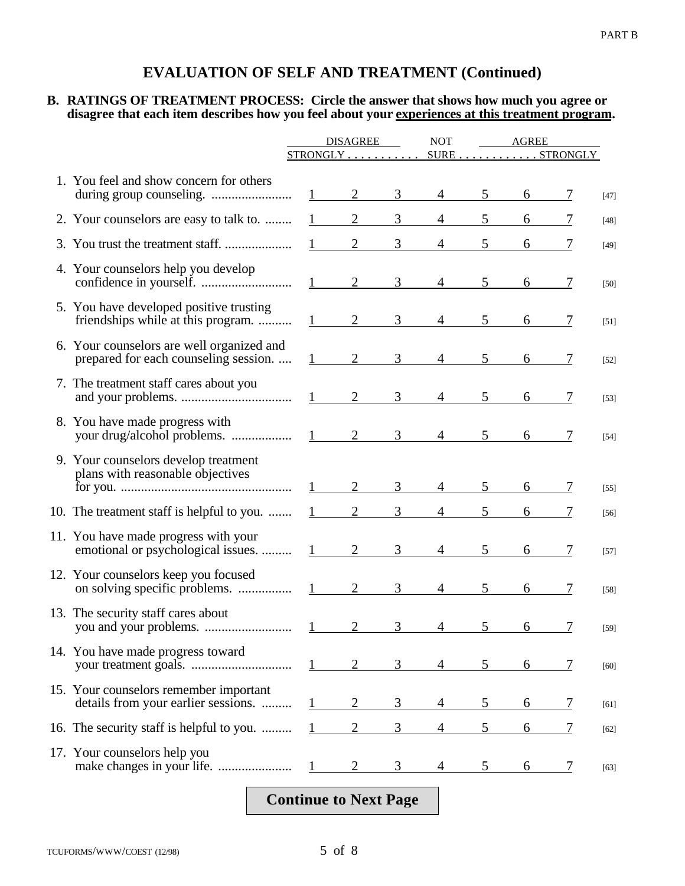#### **B. RATINGS OF TREATMENT PROCESS: Circle the answer that shows how much you agree or disagree that each item describes how you feel about your experiences at this treatment program.**

|                                                                                    | <b>DISAGREE</b> |                                             | <b>NOT</b>     | AGREE<br>$\texttt{SURE} \dots \dots \dots \texttt{STRONGLY}$ |                |   |   |        |
|------------------------------------------------------------------------------------|-----------------|---------------------------------------------|----------------|--------------------------------------------------------------|----------------|---|---|--------|
|                                                                                    |                 | $STRONGLY$                                  |                |                                                              |                |   |   |        |
| 1. You feel and show concern for others                                            | $\mathbf{1}$    | $\overline{2}$                              | 3              | $\overline{4}$                                               | 5              | 6 |   | $[47]$ |
| 2. Your counselors are easy to talk to.                                            | $\mathbf{1}$    | $\overline{2}$                              | 3              | $\overline{4}$                                               | 5              | 6 |   | $[48]$ |
|                                                                                    |                 | $\overline{2}$                              | 3              | $\overline{4}$                                               | 5              |   |   | [49]   |
| 4. Your counselors help you develop                                                |                 | 2<br>$1 \qquad \qquad$                      | 3              | $\overline{4}$                                               | 5              | 6 | 7 | $[50]$ |
| 5. You have developed positive trusting<br>friendships while at this program.      |                 | $\overline{2}$                              | 3              | 4                                                            | 5              | 6 |   | $[51]$ |
| 6. Your counselors are well organized and<br>prepared for each counseling session. |                 | $2$ <sub>——</sub><br>$1 \quad \blacksquare$ | 3 <sup>7</sup> | $\overline{4}$                                               | 5 <sup>5</sup> | 6 |   | $[52]$ |
| 7. The treatment staff cares about you                                             |                 | $\overline{2}$<br>$1 \qquad \qquad$         | 3 <sup>7</sup> | $\overline{4}$                                               | 5 <sup>5</sup> |   |   | $[53]$ |
| 8. You have made progress with<br>your drug/alcohol problems.                      |                 | $\overline{2}$                              | 3              | $\overline{4}$                                               | 5 <sup>5</sup> |   |   | $[54]$ |
| 9. Your counselors develop treatment<br>plans with reasonable objectives           |                 | $\overline{2}$                              | 3              | $\overline{4}$                                               | 5              | 6 |   | $[55]$ |
| 10. The treatment staff is helpful to you.                                         |                 | $\overline{2}$                              | 3 <sup>1</sup> |                                                              | 5              | 6 |   | [56]   |
| 11. You have made progress with your<br>emotional or psychological issues.         | 1               | $\overline{2}$                              | 3              | $\overline{4}$                                               | 5              | 6 | 7 | $[57]$ |
| 12. Your counselors keep you focused                                               |                 | $\overline{2}$<br>$1 \qquad \qquad$         | 3 <sup>1</sup> | $\overline{4}$                                               | 5              | 6 | 7 | $[58]$ |
| 13. The security staff cares about                                                 |                 | $1 \qquad \qquad$                           | 3              | $4 \quad$                                                    | $\overline{5}$ | 6 |   | $[59]$ |
| 14. You have made progress toward                                                  |                 | 2                                           | 3              | 4                                                            | 5              | 6 | 7 | [60]   |
| 15. Your counselors remember important<br>details from your earlier sessions.      |                 | $\overline{2}$                              | 3              | 4                                                            | 5              | 6 | 7 | [61]   |
| 16. The security staff is helpful to you.                                          | 1               | $\overline{2}$                              | 3              | 4                                                            | 5              | 6 | 7 | $[62]$ |
| 17. Your counselors help you                                                       | $\mathbf{1}$    | $\overline{2}$                              | 3              | 4                                                            | 5              | 6 |   | $[63]$ |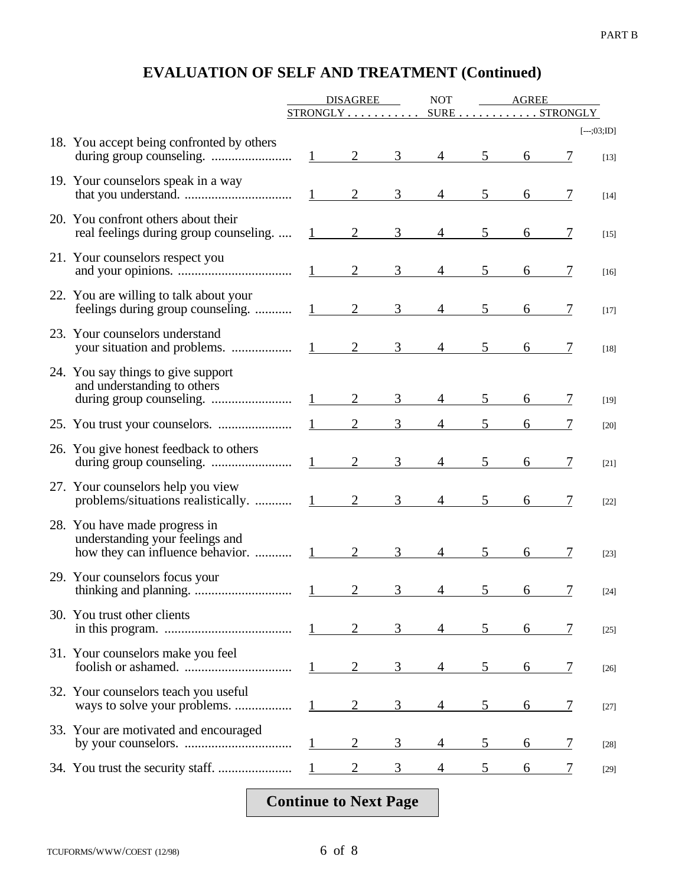|                                                                                                      | <b>DISAGREE</b>        |                 | <b>NOT</b>     | <b>AGREE</b>    |                |                                             |                |                         |
|------------------------------------------------------------------------------------------------------|------------------------|-----------------|----------------|-----------------|----------------|---------------------------------------------|----------------|-------------------------|
|                                                                                                      |                        | $STRONGLY$      |                |                 |                | $SURE \ldots \ldots \ldots \ldots STRONGLY$ |                |                         |
| 18. You accept being confronted by others                                                            |                        | $1 \qquad 2$    | 3 <sup>7</sup> |                 | 5 <sup>5</sup> | 6                                           |                | $[--.;03;ID]$<br>$[13]$ |
| 19. Your counselors speak in a way                                                                   |                        | $1 \qquad 2$    | 3              | $\overline{4}$  | 5              | 6                                           |                | $[14]$                  |
| 20. You confront others about their<br>real feelings during group counseling                         | 1                      | $\overline{2}$  | 3              | $\overline{4}$  | 5              | 6                                           |                | $[15]$                  |
| 21. Your counselors respect you<br>and your opinions. $\frac{1}{2}$                                  |                        |                 | $\overline{3}$ | $\overline{4}$  | 5              |                                             |                | $[16]$                  |
| 22. You are willing to talk about your<br>feelings during group counseling.                          | $1 \qquad \qquad$      | 2               | $\overline{3}$ | $\overline{4}$  | 5              | 6                                           | 7              | $[17]$                  |
| 23. Your counselors understand                                                                       | 1                      | $\overline{2}$  | $\mathfrak{Z}$ | $\overline{4}$  | 5              | 6                                           |                | $[18]$                  |
| 24. You say things to give support<br>and understanding to others                                    | $1 \qquad \qquad$      | 2               | $\mathfrak{Z}$ | $4\overline{ }$ | 5 <sup>5</sup> |                                             |                | $[19]$                  |
|                                                                                                      | $1 \qquad \qquad$      | $\overline{2}$  | 3              |                 | 5              |                                             |                | $[20]$                  |
| 26. You give honest feedback to others                                                               | $1 \quad \blacksquare$ | 2               | 3              | $\overline{4}$  | 5              | 6                                           |                | $[21]$                  |
| 27. Your counselors help you view<br>problems/situations realistically.                              |                        | $\frac{1}{2}$ 2 | $\mathfrak{Z}$ | 4               | $5^{\circ}$    | 6                                           | 7              | $[22]$                  |
| 28. You have made progress in<br>understanding your feelings and<br>how they can influence behavior. | $1 \qquad \qquad$      | $\overline{2}$  | $\overline{3}$ |                 | 5              | 6                                           | 7              | $[23]$                  |
| 29. Your counselors focus your                                                                       |                        | $\overline{2}$  | $\overline{3}$ | 4               | $\overline{5}$ | 6                                           | $\overline{7}$ | $[24]$                  |
| 30. You trust other clients                                                                          |                        | 2               | 3              | 4               | 5              | 6                                           |                | $[25]$                  |
| 31. Your counselors make you feel                                                                    |                        |                 |                |                 | 5              | 6                                           |                | $[26]$                  |
| 32. Your counselors teach you useful                                                                 |                        | $\overline{2}$  | 3              |                 | 5              | 6                                           | 7              | [27]                    |
| 33. Your are motivated and encouraged                                                                |                        | $\overline{2}$  | 3              | 4               | 5              | 6                                           | 7              | $[28]$                  |
|                                                                                                      |                        |                 | 3              |                 | 5              | 6                                           | 7              | $[29]$                  |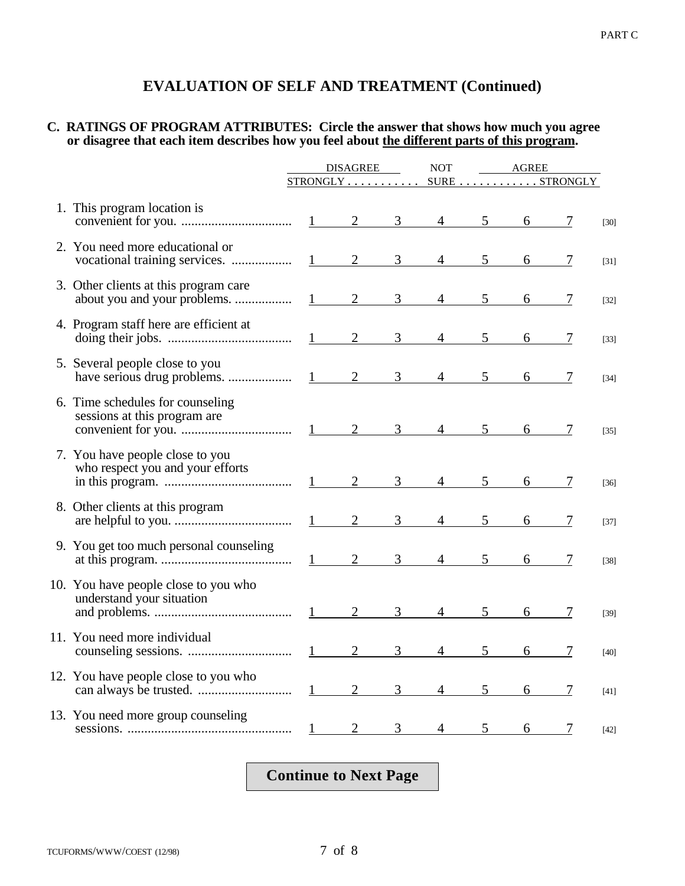#### **C. RATINGS OF PROGRAM ATTRIBUTES: Circle the answer that shows how much you agree or disagree that each item describes how you feel about the different parts of this program.**

|                                                                     | <b>DISAGREE</b>   |                                 | <b>NOT</b>     | <b>AGREE</b>   |             |                     |               |        |
|---------------------------------------------------------------------|-------------------|---------------------------------|----------------|----------------|-------------|---------------------|---------------|--------|
|                                                                     |                   | $STRONGLY \ldots \ldots \ldots$ |                |                |             |                     | SURE STRONGLY |        |
| 1. This program location is                                         |                   |                                 |                |                |             |                     |               | $[30]$ |
| 2. You need more educational or                                     |                   |                                 |                |                | $4 \quad 5$ | 6                   | 7             | $[31]$ |
| 3. Other clients at this program care                               |                   | $1 \qquad 2$                    | 3 <sup>7</sup> |                | $4 \quad 5$ | $6\degree$          |               | $[32]$ |
| 4. Program staff here are efficient at                              |                   |                                 | 3 <sup>7</sup> |                |             | $4 \quad 5 \quad 6$ | 7             | $[33]$ |
| 5. Several people close to you                                      |                   | $\frac{1}{2}$ 2                 | 3 <sup>7</sup> |                |             | $4 \underline{5} 6$ |               | $[34]$ |
| 6. Time schedules for counseling<br>sessions at this program are    |                   |                                 |                |                |             |                     |               | $[35]$ |
| 7. You have people close to you<br>who respect you and your efforts |                   |                                 |                |                | $4 \quad 5$ | $6\degree$          |               | $[36]$ |
| 8. Other clients at this program                                    |                   | $1 \qquad 2$                    | $\overline{3}$ |                | $4 \quad 5$ | $6\degree$          | 7             | $[37]$ |
| 9. You get too much personal counseling                             |                   |                                 |                |                |             |                     |               | $[38]$ |
| 10. You have people close to you who<br>understand your situation   |                   | $1 \qquad 2$                    | 3 <sup>7</sup> |                | $4 \quad 5$ | $6\degree$          | 7             | $[39]$ |
| 11. You need more individual                                        |                   | $1 \qquad 2$                    | $\overline{3}$ |                | $4 \quad 5$ | $6\qquad$           |               | $[40]$ |
| 12. You have people close to you who                                |                   | $1 \qquad 2$                    | 3 <sup>7</sup> | $\overline{4}$ | 5           | 6                   | 7             | $[41]$ |
| 13. You need more group counseling                                  | $1 \qquad \qquad$ | 2                               | $\mathfrak{Z}$ |                |             | $4 \quad 5 \quad 6$ | $\tau$        | $[42]$ |